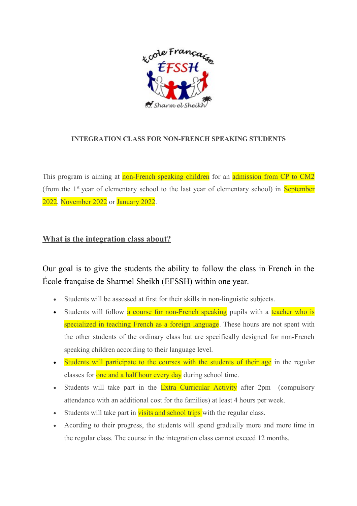

## **INTEGRATION CLASS FOR NON-FRENCH SPEAKING STUDENTS**

This program is aiming at non-French speaking children for an admission from CP to CM2 (from the  $1<sup>st</sup>$  year of elementary school to the last year of elementary school) in September 2022, November 2022 or January 2022.

## **What is the integration class about?**

Our goal is to give the students the ability to follow the class in French in the École française de Sharmel Sheikh (EFSSH) within one year.

- Students will be assessed at first for their skills in non-linguistic subjects.
- Students will follow a course for non-French speaking pupils with a teacher who is specialized in teaching French as a foreign language. These hours are not spent with the other students of the ordinary class but are specifically designed for non-French speaking children according to their language level.
- Students will participate to the courses with the students of their age in the regular classes for one and a half hour every day during school time.
- Students will take part in the **Extra Curricular Activity** after 2pm (compulsory attendance with an additional cost for the families) at least 4 hours per week.
- Students will take part in **visits and school trips** with the regular class.
- Acording to their progress, the students will spend gradually more and more time in the regular class. The course in the integration class cannot exceed 12 months.